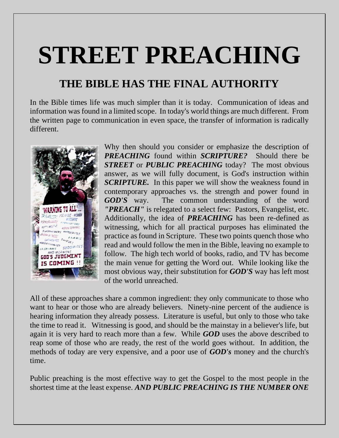# **STREET PREACHING**

## **THE BIBLE HAS THE FINAL AUTHORITY**

In the Bible times life was much simpler than it is today. Communication of ideas and information was found in a limited scope. In today's world things are much different. From the written page to communication in even space, the transfer of information is radically different.



Why then should you consider or emphasize the description of *PREACHING* found within *SCRIPTURE?* Should there be **STREET** or **PUBLIC PREACHING** today? The most obvious answer, as we will fully document, is God's instruction within *SCRIPTURE.* In this paper we will show the weakness found in contemporary approaches vs. the strength and power found in *GOD'S* way. The common understanding of the word *"PREACH"* is relegated to a select few: Pastors, Evangelist, etc. Additionally, the idea of *PREACHING* has been re-defined as witnessing, which for all practical purposes has eliminated the practice as found in Scripture. These two points quench those who read and would follow the men in the Bible, leaving no example to follow. The high tech world of books, radio, and TV has become the main venue for getting the Word out. While looking like the most obvious way, their substitution for *GOD'S* way has left most of the world unreached.

All of these approaches share a common ingredient: they only communicate to those who want to hear or those who are already believers. Ninety-nine percent of the audience is hearing information they already possess. Literature is useful, but only to those who take the time to read it. Witnessing is good, and should be the mainstay in a believer's life, but again it is very hard to reach more than a few. While *GOD* uses the above described to reap some of those who are ready, the rest of the world goes without. In addition, the methods of today are very expensive, and a poor use of *GOD's* money and the church's time.

Public preaching is the most effective way to get the Gospel to the most people in the shortest time at the least expense. *AND PUBLIC PREACHING IS THE NUMBER ONE*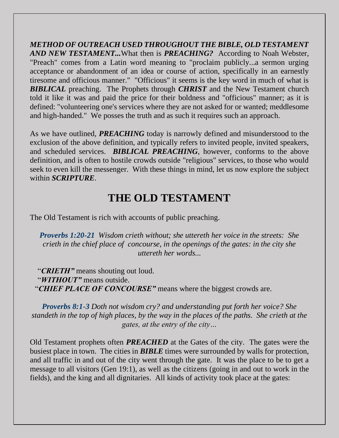*METHOD OF OUTREACH USED THROUGHOUT THE BIBLE, OLD TESTAMENT AND NEW TESTAMENT...*What then is *PREACHING?* According to Noah Webster, "Preach" comes from a Latin word meaning to "proclaim publicly...a sermon urging acceptance or abandonment of an idea or course of action, specifically in an earnestly tiresome and officious manner." "Officious" it seems is the key word in much of what is *BIBLICAL* preaching. The Prophets through *CHRIST* and the New Testament church told it like it was and paid the price for their boldness and "officious" manner; as it is defined: "volunteering one's services where they are not asked for or wanted; meddlesome and high-handed." We posses the truth and as such it requires such an approach.

As we have outlined, *PREACHING* today is narrowly defined and misunderstood to the exclusion of the above definition, and typically refers to invited people, invited speakers, and scheduled services. *BIBLICAL PREACHING*, however, conforms to the above definition, and is often to hostile crowds outside "religious" services, to those who would seek to even kill the messenger. With these things in mind, let us now explore the subject within *SCRIPTURE*.

## **THE OLD TESTAMENT**

The Old Testament is rich with accounts of public preaching.

*Proverbs 1:20-21 Wisdom crieth without; she uttereth her voice in the streets: She crieth in the chief place of concourse, in the openings of the gates: in the city she uttereth her words...*

 "*CRIETH"* means shouting out loud. "*WITHOUT"* means outside. "*CHIEF PLACE OF CONCOURSE"* means where the biggest crowds are.

*Proverbs 8:1-3 Doth not wisdom cry? and understanding put forth her voice? She standeth in the top of high places, by the way in the places of the paths. She crieth at the gates, at the entry of the city…*

Old Testament prophets often *PREACHED* at the Gates of the city. The gates were the busiest place in town. The cities in *BIBLE* times were surrounded by walls for protection, and all traffic in and out of the city went through the gate. It was the place to be to get a message to all visitors (Gen 19:1), as well as the citizens (going in and out to work in the fields), and the king and all dignitaries. All kinds of activity took place at the gates: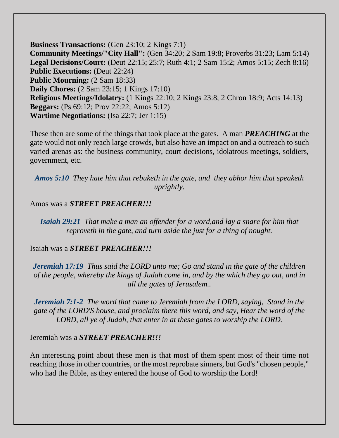**Business Transactions:** (Gen 23:10; 2 Kings 7:1) **Community Meetings/"City Hall":** (Gen 34:20; 2 Sam 19:8; Proverbs 31:23; Lam 5:14) **Legal Decisions/Court:** (Deut 22:15; 25:7; Ruth 4:1; 2 Sam 15:2; Amos 5:15; Zech 8:16) **Public Executions:** (Deut 22:24) **Public Mourning:** (2 Sam 18:33) **Daily Chores:** (2 Sam 23:15; 1 Kings 17:10) **Religious Meetings/Idolatry:** (1 Kings 22:10; 2 Kings 23:8; 2 Chron 18:9; Acts 14:13) **Beggars:** (Ps 69:12; Prov 22:22; Amos 5:12) **Wartime Negotiations:** (Isa 22:7; Jer 1:15)

These then are some of the things that took place at the gates. A man *PREACHING* at the gate would not only reach large crowds, but also have an impact on and a outreach to such varied arenas as: the business community, court decisions, idolatrous meetings, soldiers, government, etc.

*Amos 5:10 They hate him that rebuketh in the gate, and they abhor him that speaketh uprightly.*

#### Amos was a *STREET PREACHER!!!*

*Isaiah 29:21 That make a man an offender for a word,and lay a snare for him that reproveth in the gate, and turn aside the just for a thing of nought.*

#### Isaiah was a *STREET PREACHER!!!*

*Jeremiah 17:19 Thus said the LORD unto me; Go and stand in the gate of the children of the people, whereby the kings of Judah come in, and by the which they go out, and in all the gates of Jerusalem..*

*Jeremiah 7:1-2 The word that came to Jeremiah from the LORD, saying, Stand in the gate of the LORD'S house, and proclaim there this word, and say, Hear the word of the LORD, all ye of Judah, that enter in at these gates to worship the LORD.*

Jeremiah was a *STREET PREACHER!!!*

An interesting point about these men is that most of them spent most of their time not reaching those in other countries, or the most reprobate sinners, but God's "chosen people," who had the Bible, as they entered the house of God to worship the Lord!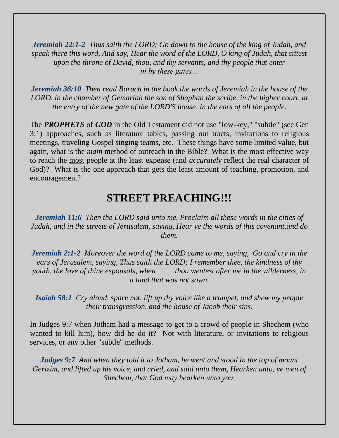*Jeremiah 22:1-2 Thus saith the LORD; Go down to the house of the king of Judah, and speak there this word, And say, Hear the word of the LORD, O king of Judah, that sittest upon the throne of David, thou, and thy servants, and thy people that enter in by these gates…*

*Jeremiah 36:10 Then read Baruch in the book the words of Jeremiah in the house of the LORD, in the chamber of Gemariah the son of Shaphan the scribe, in the higher court, at the entry of the new gate of the LORD'S house, in the ears of all the people.*

The *PROPHETS* of *GOD* in the Old Testament did not use "low-key," "subtle" (see Gen 3:1) approaches, such as literature tables, passing out tracts, invitations to religious meetings, traveling Gospel singing teams, etc. These things have some limited value, but again, what is the *main* method of outreach in the Bible? What is the most effective way to reach the most people at the least expense (and *accurately* reflect the real character of God)? What is the one approach that gets the least amount of teaching, promotion, and encouragement?

### **STREET PREACHING!!!**

*Jeremiah 11:6 Then the LORD said unto me, Proclaim all these words in the cities of Judah, and in the streets of Jerusalem, saying, Hear ye the words of this covenant,and do them.*

*Jeremiah 2:1-2 Moreover the word of the LORD came to me, saying, Go and cry in the ears of Jerusalem, saying, Thus saith the LORD; I remember thee, the kindness of thy youth, the love of thine espousals, when* thou wentest after me in the wilderness, in *a land that was not sown.* 

*Isaiah 58:1 Cry aloud, spare not, lift up thy voice like a trumpet, and shew my people their transgression, and the house of Jacob their sins.*

In Judges 9:7 when Jotham had a message to get to a crowd of people in Shechem (who wanted to kill him), how did he do it? Not with literature, or invitations to religious services, or any other "subtle" methods.

*Judges 9:7 And when they told it to Jotham, he went and stood in the top of mount Gerizim, and lifted up his voice, and cried, and said unto them, Hearken unto, ye men of Shechem, that God may hearken unto you.*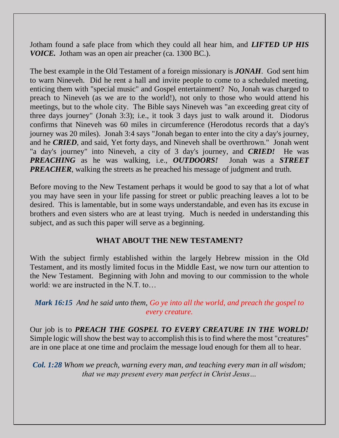Jotham found a safe place from which they could all hear him, and *LIFTED UP HIS VOICE.* Jotham was an open air preacher (ca. 1300 BC.).

The best example in the Old Testament of a foreign missionary is *JONAH*. God sent him to warn Nineveh. Did he rent a hall and invite people to come to a scheduled meeting, enticing them with "special music" and Gospel entertainment? No, Jonah was charged to preach to Nineveh (as we are to the world!), not only to those who would attend his meetings, but to the whole city. The Bible says Nineveh was "an exceeding great city of three days journey" (Jonah 3:3); i.e., it took 3 days just to walk around it. Diodorus confirms that Nineveh was 60 miles in circumference (Herodotus records that a day's journey was 20 miles). Jonah 3:4 says "Jonah began to enter into the city a day's journey, and he *CRIED*, and said, Yet forty days, and Nineveh shall be overthrown." Jonah went "a day's journey" into Nineveh, a city of 3 day's journey, and *CRIED!* He was *PREACHING* as he was walking, i.e., *OUTDOORS!* Jonah was a *STREET PREACHER*, walking the streets as he preached his message of judgment and truth.

Before moving to the New Testament perhaps it would be good to say that a lot of what you may have seen in your life passing for street or public preaching leaves a lot to be desired. This is lamentable, but in some ways understandable, and even has its excuse in brothers and even sisters who are at least trying. Much is needed in understanding this subject, and as such this paper will serve as a beginning.

#### **WHAT ABOUT THE NEW TESTAMENT?**

With the subject firmly established within the largely Hebrew mission in the Old Testament, and its mostly limited focus in the Middle East, we now turn our attention to the New Testament. Beginning with John and moving to our commission to the whole world: we are instructed in the N.T. to…

#### *Mark 16:15 And he said unto them, Go ye into all the world, and preach the gospel to every creature.*

Our job is to *PREACH THE GOSPEL TO EVERY CREATURE IN THE WORLD!* Simple logic will show the best way to accomplish this is to find where the most "creatures" are in one place at one time and proclaim the message loud enough for them all to hear.

*Col. 1:28 Whom we preach, warning every man, and teaching every man in all wisdom; that we may present every man perfect in Christ Jesus…*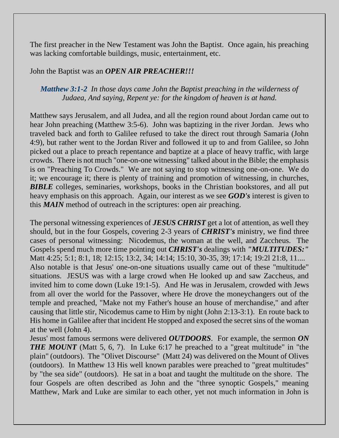The first preacher in the New Testament was John the Baptist. Once again, his preaching was lacking comfortable buildings, music, entertainment, etc.

#### John the Baptist was an *OPEN AIR PREACHER!!!*

#### *Matthew 3:1-2 In those days came John the Baptist preaching in the wilderness of Judaea, And saying, Repent ye: for the kingdom of heaven is at hand.*

Matthew says Jerusalem, and all Judea, and all the region round about Jordan came out to hear John preaching (Matthew 3:5-6). John was baptizing in the river Jordan. Jews who traveled back and forth to Galilee refused to take the direct rout through Samaria (John 4:9), but rather went to the Jordan River and followed it up to and from Galilee, so John picked out a place to preach repentance and baptize at a place of heavy traffic, with large crowds. There is not much "one-on-one witnessing" talked about in the Bible; the emphasis is on "Preaching To Crowds." We are not saying to stop witnessing one-on-one. We do it; we encourage it; there is plenty of training and promotion of witnessing, in churches, *BIBLE* colleges, seminaries, workshops, books in the Christian bookstores, and all put heavy emphasis on this approach. Again, our interest as we see *GOD's* interest is given to this *MAIN* method of outreach in the scriptures: open air preaching.

The personal witnessing experiences of *JESUS CHRIST* get a lot of attention, as well they should, but in the four Gospels, covering 2-3 years of *CHRIST's* ministry, we find three cases of personal witnessing: Nicodemus, the woman at the well, and Zaccheus. The Gospels spend much more time pointing out *CHRIST's* dealings with *"MULTITUDES:"* Matt 4:25; 5:1; 8:1, 18; 12:15; 13:2, 34; 14:14; 15:10, 30-35, 39; 17:14; 19:2l 21:8, 11.... Also notable is that Jesus' one-on-one situations usually came out of these "multitude" situations. JESUS was with a large crowd when He looked up and saw Zaccheus, and invited him to come down (Luke 19:1-5). And He was in Jerusalem, crowded with Jews from all over the world for the Passover, where He drove the moneychangers out of the temple and preached, "Make not my Father's house an house of merchandise," and after causing that little stir, Nicodemus came to Him by night (John 2:13-3:1). En route back to His home in Galilee after that incident He stopped and exposed the secret sins of the woman at the well (John 4).

Jesus' most famous sermons were delivered *OUTDOORS*. For example, the sermon *ON*  **THE MOUNT** (Matt 5, 6, 7). In Luke 6:17 he preached to a "great multitude" in "the plain" (outdoors). The "Olivet Discourse" (Matt 24) was delivered on the Mount of Olives (outdoors). In Matthew 13 His well known parables were preached to "great multitudes" by "the sea side" (outdoors). He sat in a boat and taught the multitude on the shore. The four Gospels are often described as John and the "three synoptic Gospels," meaning Matthew, Mark and Luke are similar to each other, yet not much information in John is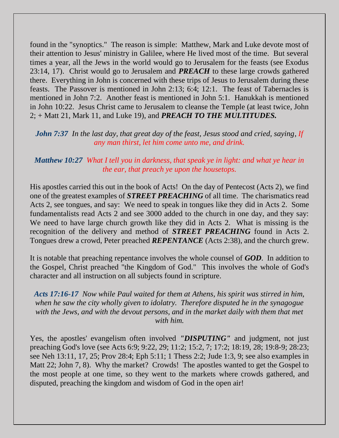found in the "synoptics." The reason is simple: Matthew, Mark and Luke devote most of their attention to Jesus' ministry in Galilee, where He lived most of the time. But several times a year, all the Jews in the world would go to Jerusalem for the feasts (see Exodus 23:14, 17). Christ would go to Jerusalem and *PREACH* to these large crowds gathered there. Everything in John is concerned with these trips of Jesus to Jerusalem during these feasts. The Passover is mentioned in John 2:13; 6:4; 12:1. The feast of Tabernacles is mentioned in John 7:2. Another feast is mentioned in John 5:1. Hanukkah is mentioned in John 10:22. Jesus Christ came to Jerusalem to cleanse the Temple (at least twice, John 2; + Matt 21, Mark 11, and Luke 19), and *PREACH TO THE MULTITUDES.*

*John 7:37 In the last day, that great day of the feast, Jesus stood and cried, saying, If any man thirst, let him come unto me, and drink.*

#### *Matthew 10:27 What I tell you in darkness, that speak ye in light: and what ye hear in the ear, that preach ye upon the housetops.*

His apostles carried this out in the book of Acts! On the day of Pentecost (Acts 2), we find one of the greatest examples of *STREET PREACHING* of all time. The charismatics read Acts 2, see tongues, and say: We need to speak in tongues like they did in Acts 2. Some fundamentalists read Acts 2 and see 3000 added to the church in one day, and they say: We need to have large church growth like they did in Acts 2. What is missing is the recognition of the delivery and method of *STREET PREACHING* found in Acts 2. Tongues drew a crowd, Peter preached *REPENTANCE* (Acts 2:38), and the church grew.

It is notable that preaching repentance involves the whole counsel of *GOD*. In addition to the Gospel, Christ preached "the Kingdom of God." This involves the whole of God's character and all instruction on all subjects found in scripture.

*Acts 17:16-17 Now while Paul waited for them at Athens, his spirit was stirred in him, when he saw the city wholly given to idolatry. Therefore disputed he in the synagogue*  with the Jews, and with the devout persons, and in the market daily with them that met *with him.*

Yes, the apostles' evangelism often involved *"DISPUTING"* and judgment, not just preaching God's love (see Acts 6:9; 9:22, 29; 11:2; 15:2, 7; 17:2; 18:19, 28; 19:8-9; 28:23; see Neh 13:11, 17, 25; Prov 28:4; Eph 5:11; 1 Thess 2:2; Jude 1:3, 9; see also examples in Matt 22; John 7, 8). Why the market? Crowds! The apostles wanted to get the Gospel to the most people at one time, so they went to the markets where crowds gathered, and disputed, preaching the kingdom and wisdom of God in the open air!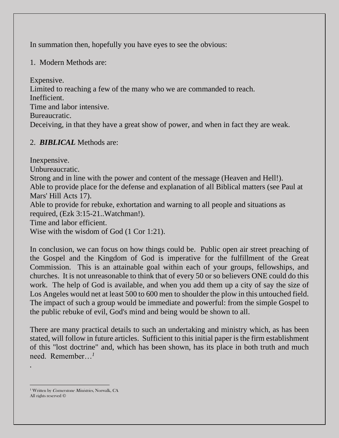In summation then, hopefully you have eyes to see the obvious:

1. Modern Methods are:

Expensive.

Limited to reaching a few of the many who we are commanded to reach. Inefficient.

Time and labor intensive.

Bureaucratic.

Deceiving, in that they have a great show of power, and when in fact they are weak.

#### 2. *BIBLICAL* Methods are:

Inexpensive. Unbureaucratic. Strong and in line with the power and content of the message (Heaven and Hell!). Able to provide place for the defense and explanation of all Biblical matters (see Paul at Mars' Hill Acts 17). Able to provide for rebuke, exhortation and warning to all people and situations as required, (Ezk 3:15-21..Watchman!). Time and labor efficient. Wise with the wisdom of God (1 Cor 1:21).

In conclusion, we can focus on how things could be. Public open air street preaching of the Gospel and the Kingdom of God is imperative for the fulfillment of the Great Commission. This is an attainable goal within each of your groups, fellowships, and churches. It is not unreasonable to think that of every 50 or so believers ONE could do this work. The help of God is available, and when you add them up a city of say the size of Los Angeles would net at least 500 to 600 men to shoulder the plow in this untouched field. The impact of such a group would be immediate and powerful: from the simple Gospel to the public rebuke of evil, God's mind and being would be shown to all.

There are many practical details to such an undertaking and ministry which, as has been stated, will follow in future articles. Sufficient to this initial paper is the firm establishment of this "lost doctrine" and, which has been shown, has its place in both truth and much need. Remember…*<sup>1</sup>*

*.*

<sup>&</sup>lt;sup>1</sup> Written by *Cornerstone Ministries*, Norwalk, CA All rights reserved ©